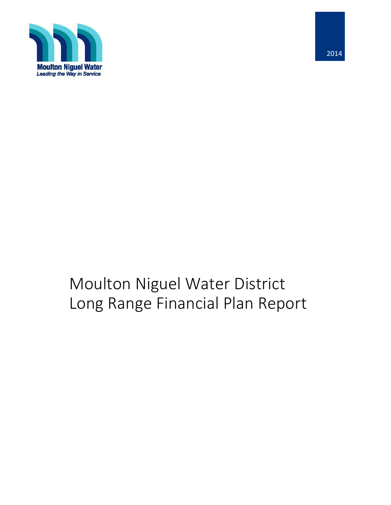

# Moulton Niguel Water District Long Range Financial Plan Report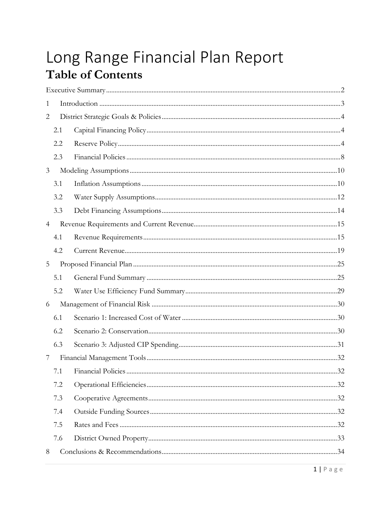# Long Range Financial Plan Report **Table of Contents**

| 1              |     |  |
|----------------|-----|--|
| 2              |     |  |
|                | 2.1 |  |
|                | 2.2 |  |
|                | 2.3 |  |
| 3              |     |  |
|                | 3.1 |  |
|                | 3.2 |  |
|                | 3.3 |  |
| $\overline{4}$ |     |  |
|                | 4.1 |  |
|                | 4.2 |  |
| 5              |     |  |
|                | 5.1 |  |
|                | 5.2 |  |
| 6              |     |  |
|                | 6.1 |  |
|                | 6.2 |  |
|                | 6.3 |  |
| 7              |     |  |
|                |     |  |
|                | 7.2 |  |
|                | 7.3 |  |
|                | 7.4 |  |
|                | 7.5 |  |
|                | 7.6 |  |
| 8              |     |  |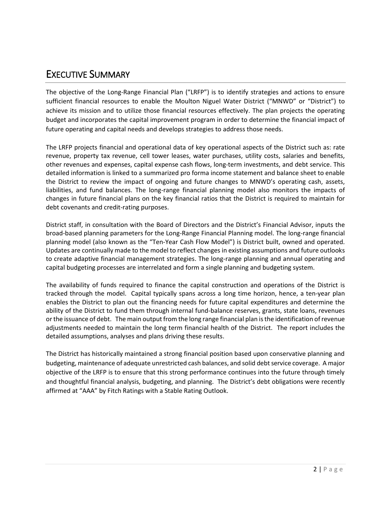### <span id="page-2-0"></span>EXECUTIVE SUMMARY

The objective of the Long-Range Financial Plan ("LRFP") is to identify strategies and actions to ensure sufficient financial resources to enable the Moulton Niguel Water District ("MNWD" or "District") to achieve its mission and to utilize those financial resources effectively. The plan projects the operating budget and incorporates the capital improvement program in order to determine the financial impact of future operating and capital needs and develops strategies to address those needs.

The LRFP projects financial and operational data of key operational aspects of the District such as: rate revenue, property tax revenue, cell tower leases, water purchases, utility costs, salaries and benefits, other revenues and expenses, capital expense cash flows, long-term investments, and debt service. This detailed information is linked to a summarized pro forma income statement and balance sheet to enable the District to review the impact of ongoing and future changes to MNWD's operating cash, assets, liabilities, and fund balances. The long-range financial planning model also monitors the impacts of changes in future financial plans on the key financial ratios that the District is required to maintain for debt covenants and credit-rating purposes.

District staff, in consultation with the Board of Directors and the District's Financial Advisor, inputs the broad-based planning parameters for the Long-Range Financial Planning model. The long-range financial planning model (also known as the "Ten-Year Cash Flow Model") is District built, owned and operated. Updates are continually made to the model to reflect changes in existing assumptions and future outlooks to create adaptive financial management strategies. The long-range planning and annual operating and capital budgeting processes are interrelated and form a single planning and budgeting system.

The availability of funds required to finance the capital construction and operations of the District is tracked through the model. Capital typically spans across a long time horizon, hence, a ten-year plan enables the District to plan out the financing needs for future capital expenditures and determine the ability of the District to fund them through internal fund-balance reserves, grants, state loans, revenues or the issuance of debt. The main output from the long range financial plan is the identification of revenue adjustments needed to maintain the long term financial health of the District. The report includes the detailed assumptions, analyses and plans driving these results.

The District has historically maintained a strong financial position based upon conservative planning and budgeting, maintenance of adequate unrestricted cash balances, and solid debt service coverage. A major objective of the LRFP is to ensure that this strong performance continues into the future through timely and thoughtful financial analysis, budgeting, and planning. The District's debt obligations were recently affirmed at "AAA" by Fitch Ratings with a Stable Rating Outlook.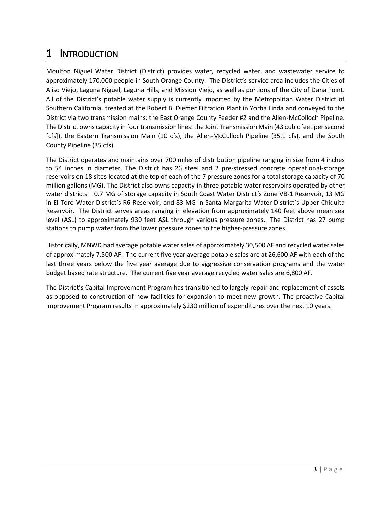### <span id="page-3-0"></span>1 INTRODUCTION

Moulton Niguel Water District (District) provides water, recycled water, and wastewater service to approximately 170,000 people in South Orange County. The District's service area includes the Cities of Aliso Viejo, Laguna Niguel, Laguna Hills, and Mission Viejo, as well as portions of the City of Dana Point. All of the District's potable water supply is currently imported by the Metropolitan Water District of Southern California, treated at the Robert B. Diemer Filtration Plant in Yorba Linda and conveyed to the District via two transmission mains: the East Orange County Feeder #2 and the Allen-McColloch Pipeline. The District owns capacity in four transmission lines: the Joint Transmission Main (43 cubic feet per second [cfs]), the Eastern Transmission Main (10 cfs), the Allen-McCulloch Pipeline (35.1 cfs), and the South County Pipeline (35 cfs).

The District operates and maintains over 700 miles of distribution pipeline ranging in size from 4 inches to 54 inches in diameter. The District has 26 steel and 2 pre-stressed concrete operational-storage reservoirs on 18 sites located at the top of each of the 7 pressure zones for a total storage capacity of 70 million gallons (MG). The District also owns capacity in three potable water reservoirs operated by other water districts – 0.7 MG of storage capacity in South Coast Water District's Zone VB-1 Reservoir, 13 MG in El Toro Water District's R6 Reservoir, and 83 MG in Santa Margarita Water District's Upper Chiquita Reservoir. The District serves areas ranging in elevation from approximately 140 feet above mean sea level (ASL) to approximately 930 feet ASL through various pressure zones. The District has 27 pump stations to pump water from the lower pressure zones to the higher-pressure zones.

Historically, MNWD had average potable water sales of approximately 30,500 AF and recycled water sales of approximately 7,500 AF. The current five year average potable sales are at 26,600 AF with each of the last three years below the five year average due to aggressive conservation programs and the water budget based rate structure. The current five year average recycled water sales are 6,800 AF.

The District's Capital Improvement Program has transitioned to largely repair and replacement of assets as opposed to construction of new facilities for expansion to meet new growth. The proactive Capital Improvement Program results in approximately \$230 million of expenditures over the next 10 years.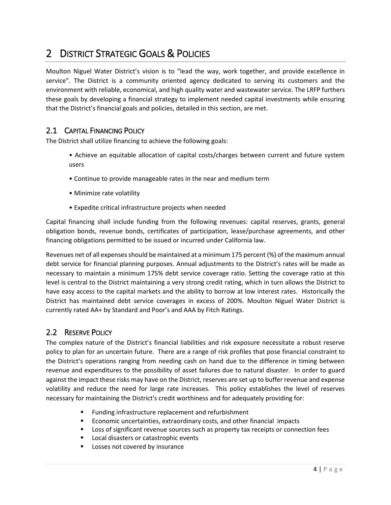### <span id="page-4-0"></span>2 DISTRICT STRATEGIC GOALS & POLICIES

Moulton Niguel Water District's vision is to "lead the way, work together, and provide excellence in service". The District is a community oriented agency dedicated to serving its customers and the environment with reliable, economical, and high quality water and wastewater service. The LRFP furthers these goals by developing a financial strategy to implement needed capital investments while ensuring that the District's financial goals and policies, detailed in this section, are met.

#### <span id="page-4-1"></span>2.1 CAPITAL FINANCING POLICY

The District shall utilize financing to achieve the following goals:

- Achieve an equitable allocation of capital costs/charges between current and future system users
- Continue to provide manageable rates in the near and medium term
- Minimize rate volatility
- Expedite critical infrastructure projects when needed

Capital financing shall include funding from the following revenues: capital reserves, grants, general obligation bonds, revenue bonds, certificates of participation, lease/purchase agreements, and other financing obligations permitted to be issued or incurred under California law.

Revenues net of all expenses should be maintained at a minimum 175 percent (%) of the maximum annual debt service for financial planning purposes. Annual adjustments to the District's rates will be made as necessary to maintain a minimum 175% debt service coverage ratio. Setting the coverage ratio at this level is central to the District maintaining a very strong credit rating, which in turn allows the District to have easy access to the capital markets and the ability to borrow at low interest rates. Historically the District has maintained debt service coverages in excess of 200%. Moulton Niguel Water District is currently rated AA+ by Standard and Poor's and AAA by Fitch Ratings.

#### <span id="page-4-2"></span>2.2 RESERVE POLICY

The complex nature of the District's financial liabilities and risk exposure necessitate a robust reserve policy to plan for an uncertain future. There are a range of risk profiles that pose financial constraint to the District's operations ranging from needing cash on hand due to the difference in timing between revenue and expenditures to the possibility of asset failures due to natural disaster. In order to guard against the impact these risks may have on the District, reserves are set up to buffer revenue and expense volatility and reduce the need for large rate increases. This policy establishes the level of reserves necessary for maintaining the District's credit worthiness and for adequately providing for:

- Funding infrastructure replacement and refurbishment
- **Economic uncertainties, extraordinary costs, and other financial impacts**
- **Loss of significant revenue sources such as property tax receipts or connection fees**
- Local disasters or catastrophic events
- **Losses not covered by insurance**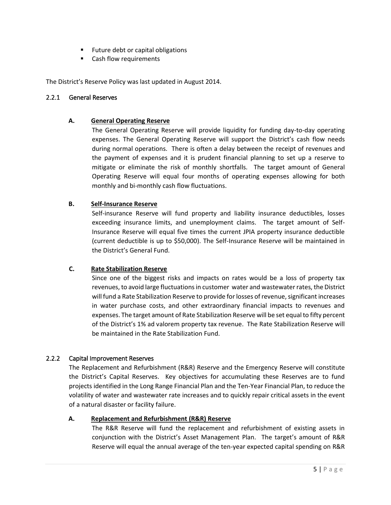- **Future debt or capital obligations**
- **EXEC** Cash flow requirements

The District's Reserve Policy was last updated in August 2014.

#### 2.2.1 General Reserves

#### **A. General Operating Reserve**

The General Operating Reserve will provide liquidity for funding day-to-day operating expenses. The General Operating Reserve will support the District's cash flow needs during normal operations.There is often a delay between the receipt of revenues and the payment of expenses and it is prudent financial planning to set up a reserve to mitigate or eliminate the risk of monthly shortfalls. The target amount of General Operating Reserve will equal four months of operating expenses allowing for both monthly and bi-monthly cash flow fluctuations.

#### **B. Self-Insurance Reserve**

Self-insurance Reserve will fund property and liability insurance deductibles, losses exceeding insurance limits, and unemployment claims. The target amount of Self-Insurance Reserve will equal five times the current JPIA property insurance deductible (current deductible is up to \$50,000). The Self-Insurance Reserve will be maintained in the District's General Fund.

#### **C. Rate Stabilization Reserve**

Since one of the biggest risks and impacts on rates would be a loss of property tax revenues, to avoid large fluctuations in customer water and wastewaterrates, the District will fund a Rate Stabilization Reserve to provide for losses of revenue, significant increases in water purchase costs, and other extraordinary financial impacts to revenues and expenses. The target amount of Rate Stabilization Reserve will be set equal to fifty percent of the District's 1% ad valorem property tax revenue. The Rate Stabilization Reserve will be maintained in the Rate Stabilization Fund.

#### 2.2.2 Capital Improvement Reserves

The Replacement and Refurbishment (R&R) Reserve and the Emergency Reserve will constitute the District's Capital Reserves. Key objectives for accumulating these Reserves are to fund projects identified in the Long Range Financial Plan and the Ten-Year Financial Plan, to reduce the volatility of water and wastewater rate increases and to quickly repair critical assets in the event of a natural disaster or facility failure.

#### **A. Replacement and Refurbishment (R&R) Reserve**

The R&R Reserve will fund the replacement and refurbishment of existing assets in conjunction with the District's Asset Management Plan. The target's amount of R&R Reserve will equal the annual average of the ten-year expected capital spending on R&R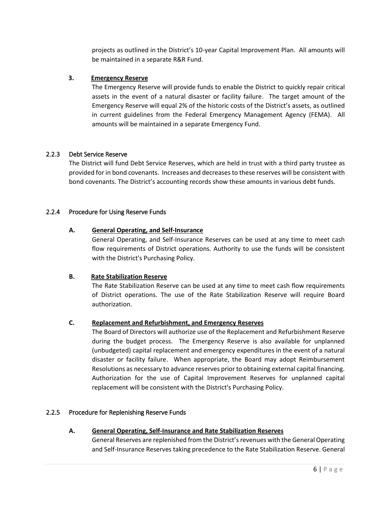projects as outlined in the District's 10-year Capital Improvement Plan. All amounts will be maintained in a separate R&R Fund.

#### **3. Emergency Reserve**

The Emergency Reserve will provide funds to enable the District to quickly repair critical assets in the event of a natural disaster or facility failure. The target amount of the Emergency Reserve will equal 2% of the historic costs of the District's assets, as outlined in current guidelines from the Federal Emergency Management Agency (FEMA). All amounts will be maintained in a separate Emergency Fund.

#### 2.2.3 Debt Service Reserve

The District will fund Debt Service Reserves, which are held in trust with a third party trustee as provided for in bond covenants. Increases and decreases to these reserves will be consistent with bond covenants. The District's accounting records show these amounts in various debt funds.

#### 2.2.4 Procedure for Using Reserve Funds

#### **A. General Operating, and Self-Insurance**

General Operating, and Self-Insurance Reserves can be used at any time to meet cash flow requirements of District operations. Authority to use the funds will be consistent with the District's Purchasing Policy.

#### **B. Rate Stabilization Reserve**

The Rate Stabilization Reserve can be used at any time to meet cash flow requirements of District operations. The use of the Rate Stabilization Reserve will require Board authorization.

#### **C. Replacement and Refurbishment, and Emergency Reserves**

The Board of Directors will authorize use of the Replacement and Refurbishment Reserve during the budget process. The Emergency Reserve is also available for unplanned (unbudgeted) capital replacement and emergency expenditures in the event of a natural disaster or facility failure. When appropriate, the Board may adopt Reimbursement Resolutions as necessary to advance reserves prior to obtaining external capital financing. Authorization for the use of Capital Improvement Reserves for unplanned capital replacement will be consistent with the District's Purchasing Policy.

#### 2.2.5 Procedure for Replenishing Reserve Funds

#### **A. General Operating, Self-Insurance and Rate Stabilization Reserves**

General Reserves are replenished from the District's revenues with the General Operating and Self-Insurance Reserves taking precedence to the Rate Stabilization Reserve. General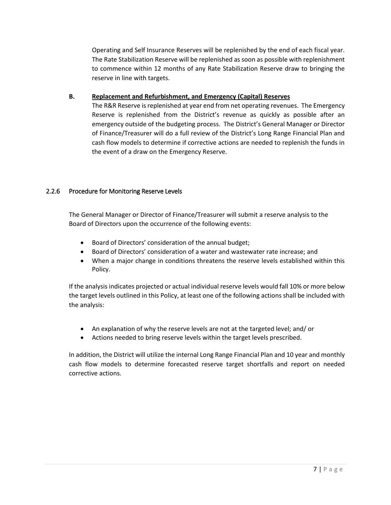Operating and Self Insurance Reserves will be replenished by the end of each fiscal year. The Rate Stabilization Reserve will be replenished as soon as possible with replenishment to commence within 12 months of any Rate Stabilization Reserve draw to bringing the reserve in line with targets.

#### **B. Replacement and Refurbishment, and Emergency (Capital) Reserves**

The R&R Reserve is replenished at year end from net operating revenues. The Emergency Reserve is replenished from the District's revenue as quickly as possible after an emergency outside of the budgeting process. The District's General Manager or Director of Finance/Treasurer will do a full review of the District's Long Range Financial Plan and cash flow models to determine if corrective actions are needed to replenish the funds in the event of a draw on the Emergency Reserve.

#### 2.2.6 Procedure for Monitoring Reserve Levels

The General Manager or Director of Finance/Treasurer will submit a reserve analysis to the Board of Directors upon the occurrence of the following events:

- Board of Directors' consideration of the annual budget;
- Board of Directors' consideration of a water and wastewater rate increase; and
- When a major change in conditions threatens the reserve levels established within this Policy.

If the analysis indicates projected or actual individual reserve levels would fall 10% or more below the target levels outlined in this Policy, at least one of the following actions shall be included with the analysis:

- An explanation of why the reserve levels are not at the targeted level; and/ or
- Actions needed to bring reserve levels within the target levels prescribed.

In addition, the District will utilize the internal Long Range Financial Plan and 10 year and monthly cash flow models to determine forecasted reserve target shortfalls and report on needed corrective actions.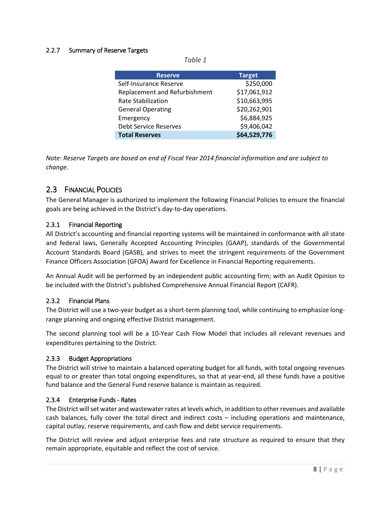#### 2.2.7 Summary of Reserve Targets

*Table 1*

| <b>Reserve</b>                | <b>Target</b> |
|-------------------------------|---------------|
| Self-Insurance Reserve        | \$250,000     |
| Replacement and Refurbishment | \$17,061,912  |
| <b>Rate Stabilization</b>     | \$10,663,995  |
| <b>General Operating</b>      | \$20,262,901  |
| Emergency                     | \$6,884,925   |
| <b>Debt Service Reserves</b>  | \$9,406,042   |
| <b>Total Reserves</b>         | \$64,529,776  |

*Note: Reserve Targets are based on end of Fiscal Year 2014 financial information and are subject to change.*

#### <span id="page-8-0"></span>2.3 FINANCIAL POLICIES

The General Manager is authorized to implement the following Financial Policies to ensure the financial goals are being achieved in the District's day-to-day operations.

#### 2.3.1 Financial Reporting

All District's accounting and financial reporting systems will be maintained in conformance with all state and federal laws, Generally Accepted Accounting Principles (GAAP), standards of the Governmental Account Standards Board (GASB), and strives to meet the stringent requirements of the Government Finance Officers Association (GFOA) Award for Excellence in Financial Reporting requirements.

An Annual Audit will be performed by an independent public accounting firm; with an Audit Opinion to be included with the District's published Comprehensive Annual Financial Report (CAFR).

#### 2.3.2 Financial Plans

The District will use a two-year budget as a short-term planning tool, while continuing to emphasize longrange planning and ongoing effective District management.

The second planning tool will be a 10-Year Cash Flow Model that includes all relevant revenues and expenditures pertaining to the District.

#### 2.3.3 Budget Appropriations

The District will strive to maintain a balanced operating budget for all funds, with total ongoing revenues equal to or greater than total ongoing expenditures, so that at year-end, all these funds have a positive fund balance and the General Fund reserve balance is maintain as required.

#### 2.3.4 Enterprise Funds - Rates

The District will set water and wastewater rates at levels which, in addition to other revenues and available cash balances, fully cover the total direct and indirect costs – including operations and maintenance, capital outlay, reserve requirements, and cash flow and debt service requirements.

The District will review and adjust enterprise fees and rate structure as required to ensure that they remain appropriate, equitable and reflect the cost of service.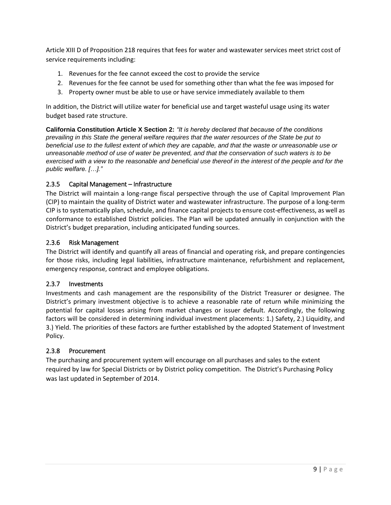Article XIII D of Proposition 218 requires that fees for water and wastewater services meet strict cost of service requirements including:

- 1. Revenues for the fee cannot exceed the cost to provide the service
- 2. Revenues for the fee cannot be used for something other than what the fee was imposed for
- 3. Property owner must be able to use or have service immediately available to them

In addition, the District will utilize water for beneficial use and target wasteful usage using its water budget based rate structure.

**California Constitution Article X Section 2:** *"It is hereby declared that because of the conditions prevailing in this State the general welfare requires that the water resources of the State be put to beneficial use to the fullest extent of which they are capable, and that the waste or unreasonable use or unreasonable method of use of water be prevented, and that the conservation of such waters is to be exercised with a view to the reasonable and beneficial use thereof in the interest of the people and for the public welfare. […]."*

#### 2.3.5 Capital Management – Infrastructure

The District will maintain a long-range fiscal perspective through the use of Capital Improvement Plan (CIP) to maintain the quality of District water and wastewater infrastructure. The purpose of a long-term CIP is to systematically plan, schedule, and finance capital projects to ensure cost-effectiveness, as well as conformance to established District policies. The Plan will be updated annually in conjunction with the District's budget preparation, including anticipated funding sources.

#### 2.3.6 Risk Management

The District will identify and quantify all areas of financial and operating risk, and prepare contingencies for those risks, including legal liabilities, infrastructure maintenance, refurbishment and replacement, emergency response, contract and employee obligations.

#### 2.3.7 Investments

Investments and cash management are the responsibility of the District Treasurer or designee. The District's primary investment objective is to achieve a reasonable rate of return while minimizing the potential for capital losses arising from market changes or issuer default. Accordingly, the following factors will be considered in determining individual investment placements: 1.) Safety, 2.) Liquidity, and 3.) Yield. The priorities of these factors are further established by the adopted Statement of Investment Policy.

#### 2.3.8 Procurement

<span id="page-9-0"></span>The purchasing and procurement system will encourage on all purchases and sales to the extent required by law for Special Districts or by District policy competition. The District's Purchasing Policy was last updated in September of 2014.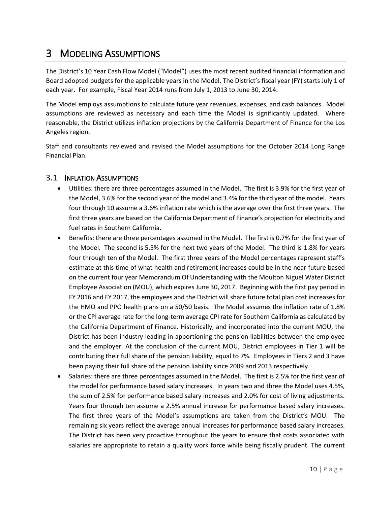### <span id="page-10-0"></span>3 MODELING ASSUMPTIONS

The District's 10 Year Cash Flow Model ("Model") uses the most recent audited financial information and Board adopted budgets for the applicable years in the Model. The District's fiscal year (FY) starts July 1 of each year. For example, Fiscal Year 2014 runs from July 1, 2013 to June 30, 2014.

The Model employs assumptions to calculate future year revenues, expenses, and cash balances. Model assumptions are reviewed as necessary and each time the Model is significantly updated. Where reasonable, the District utilizes inflation projections by the California Department of Finance for the Los Angeles region.

Staff and consultants reviewed and revised the Model assumptions for the October 2014 Long Range Financial Plan.

#### <span id="page-10-1"></span>3.1 INFLATION ASSUMPTIONS

- Utilities: there are three percentages assumed in the Model. The first is 3.9% for the first year of the Model, 3.6% for the second year of the model and 3.4% for the third year of the model. Years four through 10 assume a 3.6% inflation rate which is the average over the first three years. The first three years are based on the California Department of Finance's projection for electricity and fuel rates in Southern California.
- Benefits: there are three percentages assumed in the Model. The first is 0.7% for the first year of the Model. The second is 5.5% for the next two years of the Model. The third is 1.8% for years four through ten of the Model. The first three years of the Model percentages represent staff's estimate at this time of what health and retirement increases could be in the near future based on the current four year Memorandum Of Understanding with the Moulton Niguel Water District Employee Association (MOU), which expires June 30, 2017. Beginning with the first pay period in FY 2016 and FY 2017, the employees and the District will share future total plan cost increases for the HMO and PPO health plans on a 50/50 basis. The Model assumes the inflation rate of 1.8% or the CPI average rate for the long-term average CPI rate for Southern California as calculated by the California Department of Finance. Historically, and incorporated into the current MOU, the District has been industry leading in apportioning the pension liabilities between the employee and the employer. At the conclusion of the current MOU, District employees in Tier 1 will be contributing their full share of the pension liability, equal to 7%. Employees in Tiers 2 and 3 have been paying their full share of the pension liability since 2009 and 2013 respectively.
- Salaries: there are three percentages assumed in the Model. The first is 2.5% for the first year of the model for performance based salary increases. In years two and three the Model uses 4.5%, the sum of 2.5% for performance based salary increases and 2.0% for cost of living adjustments. Years four through ten assume a 2.5% annual increase for performance based salary increases. The first three years of the Model's assumptions are taken from the District's MOU. The remaining six years reflect the average annual increases for performance based salary increases. The District has been very proactive throughout the years to ensure that costs associated with salaries are appropriate to retain a quality work force while being fiscally prudent. The current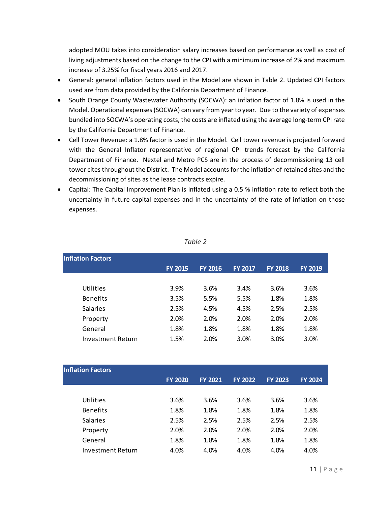adopted MOU takes into consideration salary increases based on performance as well as cost of living adjustments based on the change to the CPI with a minimum increase of 2% and maximum increase of 3.25% for fiscal years 2016 and 2017.

- General: general inflation factors used in the Model are shown in [Table 2.](#page-11-0) Updated CPI factors used are from data provided by the California Department of Finance.
- South Orange County Wastewater Authority (SOCWA): an inflation factor of 1.8% is used in the Model. Operational expenses (SOCWA) can vary from year to year. Due to the variety of expenses bundled into SOCWA's operating costs, the costs are inflated using the average long-term CPI rate by the California Department of Finance.
- Cell Tower Revenue: a 1.8% factor is used in the Model. Cell tower revenue is projected forward with the General Inflator representative of regional CPI trends forecast by the California Department of Finance. Nextel and Metro PCS are in the process of decommissioning 13 cell tower cites throughout the District. The Model accounts for the inflation of retained sites and the decommissioning of sites as the lease contracts expire.
- Capital: The Capital Improvement Plan is inflated using a 0.5 % inflation rate to reflect both the uncertainty in future capital expenses and in the uncertainty of the rate of inflation on those expenses.

<span id="page-11-0"></span>

| <b>Inflation Factors</b> |                |                |                |                |                |  |  |  |  |  |  |
|--------------------------|----------------|----------------|----------------|----------------|----------------|--|--|--|--|--|--|
|                          | <b>FY 2015</b> | <b>FY 2016</b> | <b>FY 2017</b> | <b>FY 2018</b> | <b>FY 2019</b> |  |  |  |  |  |  |
|                          |                |                |                |                |                |  |  |  |  |  |  |
| Utilities                | 3.9%           | 3.6%           | 3.4%           | 3.6%           | 3.6%           |  |  |  |  |  |  |
| <b>Benefits</b>          | 3.5%           | 5.5%           | 5.5%           | 1.8%           | 1.8%           |  |  |  |  |  |  |
| <b>Salaries</b>          | 2.5%           | 4.5%           | 4.5%           | 2.5%           | 2.5%           |  |  |  |  |  |  |
| Property                 | 2.0%           | 2.0%           | 2.0%           | 2.0%           | 2.0%           |  |  |  |  |  |  |
| General                  | 1.8%           | 1.8%           | 1.8%           | 1.8%           | 1.8%           |  |  |  |  |  |  |
| <b>Investment Return</b> | 1.5%           | 2.0%           | 3.0%           | 3.0%           | 3.0%           |  |  |  |  |  |  |
|                          |                |                |                |                |                |  |  |  |  |  |  |

*Table 2*

| <b>Inflation Factors</b> |                |                |                |                |                |
|--------------------------|----------------|----------------|----------------|----------------|----------------|
|                          | <b>FY 2020</b> | <b>FY 2021</b> | <b>FY 2022</b> | <b>FY 2023</b> | <b>FY 2024</b> |
|                          |                |                |                |                |                |
| Utilities                | 3.6%           | 3.6%           | 3.6%           | 3.6%           | 3.6%           |
| <b>Benefits</b>          | 1.8%           | 1.8%           | 1.8%           | 1.8%           | 1.8%           |
| <b>Salaries</b>          | 2.5%           | 2.5%           | 2.5%           | 2.5%           | 2.5%           |
| Property                 | 2.0%           | 2.0%           | 2.0%           | 2.0%           | 2.0%           |
| General                  | 1.8%           | 1.8%           | 1.8%           | 1.8%           | 1.8%           |
| Investment Return        | 4.0%           | 4.0%           | 4.0%           | 4.0%           | 4.0%           |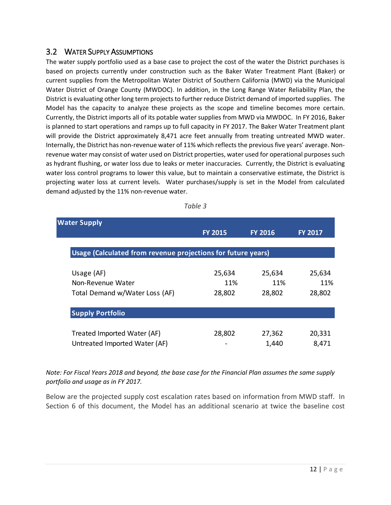#### <span id="page-12-0"></span>3.2 WATER SUPPLY ASSUMPTIONS

The water supply portfolio used as a base case to project the cost of the water the District purchases is based on projects currently under construction such as the Baker Water Treatment Plant (Baker) or current supplies from the Metropolitan Water District of Southern California (MWD) via the Municipal Water District of Orange County (MWDOC). In addition, in the Long Range Water Reliability Plan, the District is evaluating other long term projects to further reduce District demand of imported supplies. The Model has the capacity to analyze these projects as the scope and timeline becomes more certain. Currently, the District imports all of its potable water supplies from MWD via MWDOC. In FY 2016, Baker is planned to start operations and ramps up to full capacity in FY 2017. The Baker Water Treatment plant will provide the District approximately 8,471 acre feet annually from treating untreated MWD water. Internally, the District has non-revenue water of 11% which reflects the previous five years' average. Nonrevenue water may consist of water used on District properties, water used for operational purposes such as hydrant flushing, or water loss due to leaks or meter inaccuracies. Currently, the District is evaluating water loss control programs to lower this value, but to maintain a conservative estimate, the District is projecting water loss at current levels. Water purchases/supply is set in the Model from calculated demand adjusted by the 11% non-revenue water.

| <b>Water Supply</b>                                          |                |                |                |
|--------------------------------------------------------------|----------------|----------------|----------------|
|                                                              | <b>FY 2015</b> | <b>FY 2016</b> | <b>FY 2017</b> |
|                                                              |                |                |                |
| Usage (Calculated from revenue projections for future years) |                |                |                |
|                                                              |                |                |                |
| Usage (AF)                                                   | 25,634         | 25,634         | 25,634         |
| Non-Revenue Water                                            | 11%            | 11%            | 11%            |
| Total Demand w/Water Loss (AF)                               | 28,802         | 28,802         | 28,802         |
| <b>Supply Portfolio</b>                                      |                |                |                |
| Treated Imported Water (AF)                                  | 28,802         | 27,362         | 20,331         |
| Untreated Imported Water (AF)                                |                | 1,440          | 8,471          |

| ı |  |
|---|--|
|---|--|

*Note: For Fiscal Years 2018 and beyond, the base case for the Financial Plan assumes the same supply portfolio and usage as in FY 2017.*

Below are the projected supply cost escalation rates based on information from MWD staff. In Section [6](#page-30-0) of this document, the Model has an additional scenario at twice the baseline cost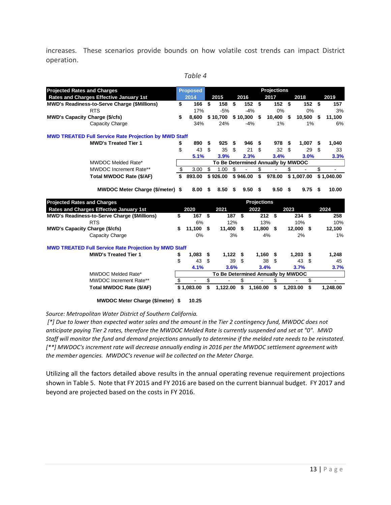increases. These scenarios provide bounds on how volatile cost trends can impact District operation.

| ā<br>۰.<br>y. |  |
|---------------|--|
|---------------|--|

| <b>Projected Rates and Charges</b>    |                                                              | <b>Proposed</b>   |    |           |        |                    |               | <b>Projections</b>                 |            |          |                |
|---------------------------------------|--------------------------------------------------------------|-------------------|----|-----------|--------|--------------------|---------------|------------------------------------|------------|----------|----------------|
|                                       | Rates and Charges Effective January 1st                      | 2014              |    | 2015      |        | 2016               |               | 2017                               | 2018       |          | 2019           |
|                                       | <b>MWD's Readiness-to-Serve Charge (\$Millions)</b>          | \$<br>166         | \$ | 158       | -\$    | 152S               |               | 152S                               |            | 152S     | 157            |
|                                       | <b>RTS</b>                                                   | 17%               |    | $-5%$     |        | $-4%$              |               | 0%                                 |            | 0%       | 3%             |
| <b>MWD's Capacity Charge (\$/cfs)</b> |                                                              | \$<br>8.600       |    | \$10,700  |        | \$10.300           | - \$          | 10,400 \$                          |            | 10.500   | \$<br>11,100   |
|                                       | Capacity Charge                                              | 34%               |    | 24%       |        | $-4%$              |               | 1%                                 |            | 1%       | 6%             |
|                                       | <b>MWD TREATED Full Service Rate Projection by MWD Staff</b> |                   |    |           |        |                    |               |                                    |            |          |                |
|                                       | <b>MWD's Treated Tier 1</b>                                  | \$<br>890         | S  | 925       | \$     | 946                | \$            | 978                                | \$         | 1,007    | \$<br>1,040    |
|                                       |                                                              | \$<br>43          | \$ | 35        | \$     | 21                 | \$            | 32                                 | \$         | 29       | \$<br>33       |
|                                       |                                                              | 5.1%              |    | 3.9%      |        | 2.3%               |               | 3.4%                               |            | 3.0%     | 3.3%           |
|                                       | MWDOC Melded Rate*                                           |                   |    |           |        |                    |               | To Be Determined Annually by MWDOC |            |          |                |
|                                       | MWDOC Increment Rate**                                       | \$<br>3.00        | \$ | 1.00      | \$     |                    | \$            |                                    | \$         |          | \$             |
|                                       | Total MWDOC Rate (\$/AF)                                     | \$<br>893.00      |    | \$926.00  |        | \$946.00           | $\mathsf{\$}$ | 978.00                             | \$1,007.00 |          | \$1,040.00     |
|                                       | MWDOC Meter Charge (\$/meter) \$                             | 8.00              | \$ | 8.50      | \$     | 9.50               | \$            | 9.50                               | \$         | 9.75     | \$<br>10.00    |
| <b>Projected Rates and Charges</b>    |                                                              |                   |    |           |        | <b>Projections</b> |               |                                    |            |          |                |
|                                       | Rates and Charges Effective January 1st                      | 2020              |    | 2021      |        | 2022               |               |                                    | 2023       |          | 2024           |
|                                       | <b>MWD's Readiness-to-Serve Charge (\$Millions)</b>          | \$<br>167 \$      |    |           | 187 \$ |                    |               | 212S                               |            | 234S     | 258            |
|                                       | <b>RTS</b>                                                   | 6%                |    |           | 12%    |                    |               | 13%                                |            | 10%      | 10%            |
| <b>MWD's Capacity Charge (\$/cfs)</b> |                                                              | \$<br>$11,100$ \$ |    | 11,400 \$ |        |                    |               | 11,800 \$                          | 12,000 \$  |          | 12,100         |
|                                       | Capacity Charge                                              | 0%                |    |           | 3%     |                    |               | 4%                                 |            | 2%       | 1%             |
|                                       | <b>MWD TREATED Full Service Rate Projection by MWD Staff</b> |                   |    |           |        |                    |               |                                    |            |          |                |
|                                       | <b>MWD's Treated Tier 1</b>                                  | \$<br>1,083       | \$ | 1,122     |        | \$                 | 1,160         | -\$                                | 1,203      | - \$     | 1,248          |
|                                       |                                                              | \$<br>43          | \$ |           | 39     | \$                 |               | 38<br>\$                           |            | 43<br>\$ | 45             |
|                                       |                                                              | 4.1%              |    |           | 3.6%   |                    |               | 3.4%                               | 3.7%       |          | 3.7%           |
|                                       | <b>MWDOC Melded Rate*</b>                                    |                   |    |           |        |                    |               | To Be Determined Annually by MWDOC |            |          |                |
|                                       | <b>MWDOC</b> Increment Rate**                                | \$                | \$ |           |        | \$                 |               | \$                                 |            | \$       | $\blacksquare$ |
|                                       | Total MWDOC Rate (\$/AF)                                     | \$1,083.00        | \$ | 1,122.00  |        | \$                 | 1,160.00      | \$                                 | 1,203.00   | \$       | 1,248.00       |
|                                       | MWDOC Meter Charge (\$/meter) \$                             | 10.25             |    |           |        |                    |               |                                    |            |          |                |

*Source: Metropolitan Water District of Southern California.*

*[\*] Due to lower than expected water sales and the amount in the Tier 2 contingency fund, MWDOC does not anticipate paying Tier 2 rates, therefore the MWDOC Melded Rate is currently suspended and set at "0". MWD Staff will monitor the fund and demand projections annually to determine if the melded rate needs to be reinstated. [\*\*] MWDOC's increment rate will decrease annually ending in 2016 per the MWDOC settlement agreement with the member agencies. MWDOC's revenue will be collected on the Meter Charge.*

Utilizing all the factors detailed above results in the annual operating revenue requirement projections shown i[n Table 5.](#page-14-1) Note that FY 2015 and FY 2016 are based on the current biannual budget. FY 2017 and beyond are projected based on the costs in FY 2016.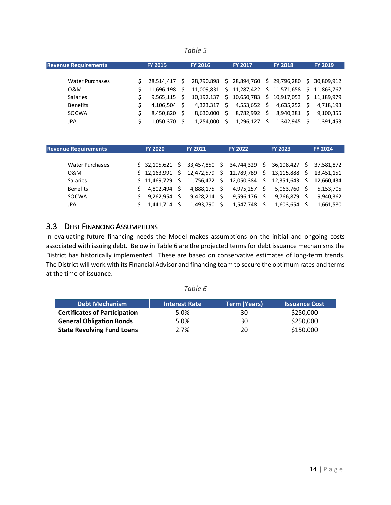#### *Table 5*

<span id="page-14-1"></span>

| <b>Revenue Requirements</b> | <b>FY 2015</b> |   | <b>FY 2016</b> |    | <b>FY 2017</b> |      | <b>FY 2018</b>              |    | <b>FY 2019</b> |
|-----------------------------|----------------|---|----------------|----|----------------|------|-----------------------------|----|----------------|
|                             |                |   |                |    |                |      |                             |    |                |
| <b>Water Purchases</b>      | 28.514.417     | S | 28.790.898     | Ŝ. | 28,894,760     | - \$ | 29,796,280                  |    | \$30.809.912   |
| 0&M                         | 11,696,198     | S | 11.009.831     |    | \$11,287,422   |      | \$ 11,571,658 \$ 11,863,767 |    |                |
| <b>Salaries</b>             | 9,565,115      | Ś | 10.192.137     | Ŝ. | 10,650,783     | S.   | 10,917,053                  |    | \$11.189.979   |
| <b>Benefits</b>             | 4,106,504      | Ś | 4.323.317      | Š. | 4,553,652      | S    | 4,635,252                   | S. | 4.718.193      |
| SOCWA                       | 8,450,820      |   | 8.630.000      | S. | 8,782,992      | S    | 8,940,381                   | Ŝ. | 9,100,355      |
| JPA                         | 1,050,370      | S | 1.254.000      |    | 1,296,127      | S    | 1,342,945                   |    | 1.391.453      |

| <b>Revenue Requirements</b> | <b>FY 2020</b> |    | <b>FY 2021</b> | <b>FY 2022</b> | <b>FY 2023</b> |    | <b>FY 2024</b> |
|-----------------------------|----------------|----|----------------|----------------|----------------|----|----------------|
|                             |                |    |                |                |                |    |                |
| <b>Water Purchases</b>      | \$32.105.621   | -S | 33,457,850 \$  | 34,744,329 \$  | 36,108,427     | S  | 37.581.872     |
| 0&M                         | \$12.163.991   | Ŝ. | 12,472,579 \$  | 12,789,789 \$  | 13,115,888     | Ŝ. | 13.451.151     |
| <b>Salaries</b>             | S 11.469.729   | Ŝ. | 11,756,472 \$  | 12,050,384 \$  | 12,351,643     | S. | 12.660.434     |
| <b>Benefits</b>             | 4.802.494      |    | 4,888,175      | 4,975,257      | 5,063,760      | S  | 5,153,705      |
| SOCWA                       | 9.262.954      |    | 9.428.214      | $9,596,176$ \$ | 9,766,879      |    | 9,940,362      |
| JPA                         | 1.441.714      |    | 1,493,790      | 1,547,748      | 1,603,654      |    | 1,661,580      |

#### <span id="page-14-0"></span>3.3 DEBT FINANCING ASSUMPTIONS

In evaluating future financing needs the Model makes assumptions on the initial and ongoing costs associated with issuing debt. Below i[n Table 6](#page-14-2) are the projected terms for debt issuance mechanisms the District has historically implemented. These are based on conservative estimates of long-term trends. The District will work with its Financial Advisor and financing team to secure the optimum rates and terms at the time of issuance.

|--|--|

<span id="page-14-2"></span>

| <b>Debt Mechanism</b>                | <b>Interest Rate</b> | <b>Term (Years)</b> | <b>Issuance Cost</b> |
|--------------------------------------|----------------------|---------------------|----------------------|
| <b>Certificates of Participation</b> | 5.0%                 | 30                  | \$250,000            |
| <b>General Obligation Bonds</b>      | 5.0%                 | 30                  | \$250,000            |
| <b>State Revolving Fund Loans</b>    | 2.7%                 | 20                  | \$150,000            |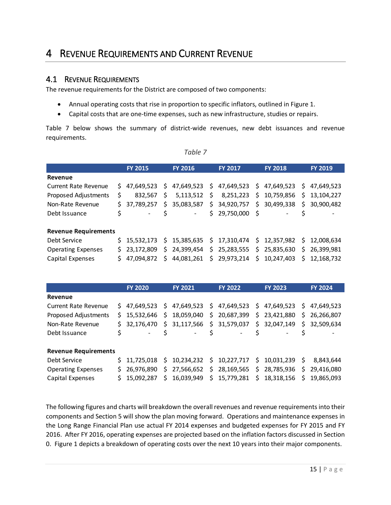### <span id="page-15-0"></span>4 REVENUE REQUIREMENTS AND CURRENT REVENUE

#### <span id="page-15-1"></span>4.1 REVENUE REQUIREMENTS

The revenue requirements for the District are composed of two components:

- Annual operating costs that rise in proportion to specific inflators, outlined in [Figure 1.](#page-16-0)
- Capital costs that are one-time expenses, such as new infrastructure, studies or repairs.

[Table 7](#page-15-2) below shows the summary of district-wide revenues, new debt issuances and revenue requirements.

*Table 7*

<span id="page-15-2"></span>

|                             |    | <b>FY 2015</b> |    | <b>FY 2016</b>           | <b>FY 2017</b>               | <b>FY 2018</b> |              | <b>FY 2019</b> |
|-----------------------------|----|----------------|----|--------------------------|------------------------------|----------------|--------------|----------------|
| Revenue                     |    |                |    |                          |                              |                |              |                |
| <b>Current Rate Revenue</b> |    | \$47,649,523   |    | \$47,649,523             | $$47,649,523$$ $$47,649,523$ |                | $\mathsf{S}$ | 47.649.523     |
| Proposed Adjustments        | \$ | 832.567        | S  | 5,113,512                | $$8,251,223$$ $$10,759,856$  |                | \$           | 13,104,227     |
| Non-Rate Revenue            | Ś. | 37.789.257     | S. | 35,083,587               | \$34,920,757                 | \$30,499,338   | \$           | 30.900.482     |
| Debt Issuance               | \$ |                |    | $\overline{\phantom{a}}$ | \$29,750,000\$               |                |              |                |
| <b>Revenue Requirements</b> |    |                |    |                          |                              |                |              |                |
| Debt Service                |    | \$15.532.173   |    | \$15,385,635             | $$17,310,474 \t$12,357,982$  |                | S.           | 12.008.634     |
| <b>Operating Expenses</b>   |    | \$23,172,809   | S. | 24,399,454               | $$25,283,555 \ $25,835,630$  |                | \$           | 26,399,981     |
| Capital Expenses            | S. | 47.094.872     |    | \$44,081,261             | \$29,973,214 \$10,247,403    |                |              | \$12.168.732   |

|                             |    | <b>FY 2020</b>               |    | <b>FY 2021</b>           | <b>FY 2022</b>                            | <b>FY 2023</b> |     | <b>FY 2024</b> |
|-----------------------------|----|------------------------------|----|--------------------------|-------------------------------------------|----------------|-----|----------------|
| Revenue                     |    |                              |    |                          |                                           |                |     |                |
| <b>Current Rate Revenue</b> |    | $$47,649,523$$ $$47,649,523$ |    |                          | $$47,649,523$$ $$47,649,523$              |                | S.  | 47,649,523     |
| Proposed Adjustments        |    | \$15,532,646                 |    | \$18,059,040             | \$20,687,399\$23,421,880                  |                | \$. | 26,266,807     |
| Non-Rate Revenue            |    | \$ 32.176.470                |    |                          | $$31,117,566$ $$31,579,037$ $$32,047,149$ |                | \$  | 32,509,634     |
| Debt Issuance               | \$ |                              |    | $\overline{\phantom{a}}$ | -                                         |                |     |                |
| <b>Revenue Requirements</b> |    |                              |    |                          |                                           |                |     |                |
| Debt Service                |    | S 11.725.018                 |    | \$10,234,232             | $$10,227,717 \$10,031,239$                |                | S.  | 8,843,644      |
| <b>Operating Expenses</b>   | S. | 26.976.890                   |    | \$27,566,652             | \$28,169,565 \$28,785,936                 |                | \$  | 29,416,080     |
| Capital Expenses            | S. | 15.092.287                   | S. | 16,039,949               | \$15,779,281                              | \$18,318,156   | S.  | 19,865,093     |

The following figures and charts will breakdown the overall revenues and revenue requirements into their components and Section 5 will show the plan moving forward. Operations and maintenance expenses in the Long Range Financial Plan use actual FY 2014 expenses and budgeted expenses for FY 2015 and FY 2016. After FY 2016, operating expenses are projected based on the inflation factors discussed in Section [0.](#page-9-0) [Figure 1](#page-16-0) depicts a breakdown of operating costs over the next 10 years into their major components.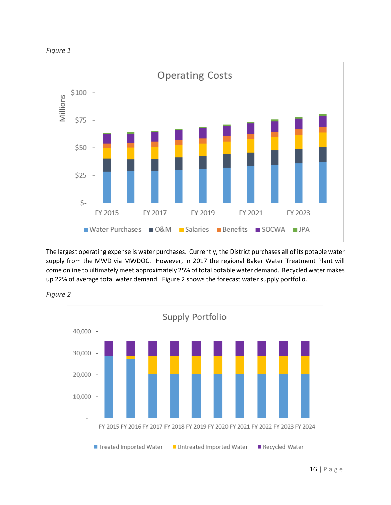<span id="page-16-0"></span>



The largest operating expense is water purchases. Currently, the District purchases all of its potable water supply from the MWD via MWDOC. However, in 2017 the regional Baker Water Treatment Plant will come online to ultimately meet approximately 25% of total potable water demand. Recycled water makes up 22% of average total water demand. [Figure 2](#page-16-1) shows the forecast water supply portfolio.

<span id="page-16-1"></span>

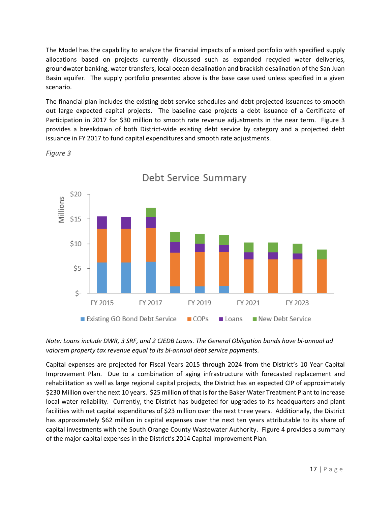The Model has the capability to analyze the financial impacts of a mixed portfolio with specified supply allocations based on projects currently discussed such as expanded recycled water deliveries, groundwater banking, water transfers, local ocean desalination and brackish desalination of the San Juan Basin aquifer. The supply portfolio presented above is the base case used unless specified in a given scenario.

The financial plan includes the existing debt service schedules and debt projected issuances to smooth out large expected capital projects. The baseline case projects a debt issuance of a Certificate of Participation in 2017 for \$30 million to smooth rate revenue adjustments in the near term. [Figure 3](#page-17-0) provides a breakdown of both District-wide existing debt service by category and a projected debt issuance in FY 2017 to fund capital expenditures and smooth rate adjustments.



<span id="page-17-0"></span>*Figure 3*

#### *Note: Loans include DWR, 3 SRF, and 2 CIEDB Loans. The General Obligation bonds have bi-annual ad valorem property tax revenue equal to its bi-annual debt service payments.*

Capital expenses are projected for Fiscal Years 2015 through 2024 from the District's 10 Year Capital Improvement Plan. Due to a combination of aging infrastructure with forecasted replacement and rehabilitation as well as large regional capital projects, the District has an expected CIP of approximately \$230 Million over the next 10 years. \$25 million of that is for the Baker Water Treatment Plant to increase local water reliability. Currently, the District has budgeted for upgrades to its headquarters and plant facilities with net capital expenditures of \$23 million over the next three years. Additionally, the District has approximately \$62 million in capital expenses over the next ten years attributable to its share of capital investments with the South Orange County Wastewater Authority. [Figure 4](#page-18-0) provides a summary of the major capital expenses in the District's 2014 Capital Improvement Plan.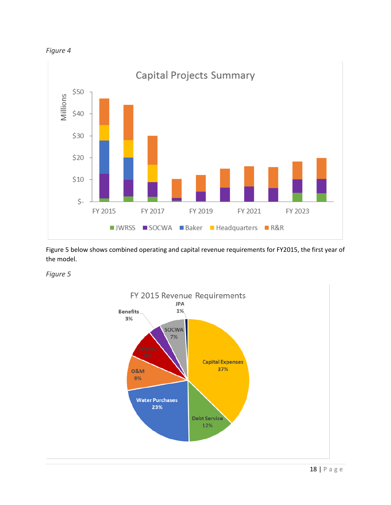<span id="page-18-0"></span>



[Figure 5](#page-18-1) below shows combined operating and capital revenue requirements for FY2015, the first year of the model.

<span id="page-18-1"></span>*Figure 5*



Capital Projects Summary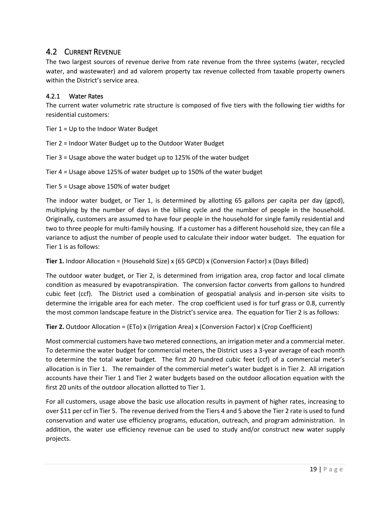#### <span id="page-19-0"></span>4.2 CURRENT REVENUE

The two largest sources of revenue derive from rate revenue from the three systems (water, recycled water, and wastewater) and ad valorem property tax revenue collected from taxable property owners within the District's service area.

#### 4.2.1 Water Rates

The current water volumetric rate structure is composed of five tiers with the following tier widths for residential customers:

Tier 1 = Up to the Indoor Water Budget

Tier 2 = Indoor Water Budget up to the Outdoor Water Budget

Tier 3 = Usage above the water budget up to 125% of the water budget

Tier 4 = Usage above 125% of water budget up to 150% of the water budget

Tier 5 = Usage above 150% of water budget

The indoor water budget, or Tier 1, is determined by allotting 65 gallons per capita per day (gpcd), multiplying by the number of days in the billing cycle and the number of people in the household. Originally, customers are assumed to have four people in the household for single family residential and two to three people for multi-family housing. If a customer has a different household size, they can file a variance to adjust the number of people used to calculate their indoor water budget. The equation for Tier 1 is as follows:

**Tier 1.** Indoor Allocation = (Household Size) x (65 GPCD) x (Conversion Factor) x (Days Billed)

The outdoor water budget, or Tier 2, is determined from irrigation area, crop factor and local climate condition as measured by evapotranspiration. The conversion factor converts from gallons to hundred cubic feet (ccf). The District used a combination of geospatial analysis and in-person site visits to determine the irrigable area for each meter. The crop coefficient used is for turf grass or 0.8, currently the most common landscape feature in the District's service area. The equation for Tier 2 is as follows:

**Tier 2.** Outdoor Allocation = (ETo) x (Irrigation Area) x (Conversion Factor) x (Crop Coefficient)

Most commercial customers have two metered connections, an irrigation meter and a commercial meter. To determine the water budget for commercial meters, the District uses a 3-year average of each month to determine the total water budget. The first 20 hundred cubic feet (ccf) of a commercial meter's allocation is in Tier 1. The remainder of the commercial meter's water budget is in Tier 2. All irrigation accounts have their Tier 1 and Tier 2 water budgets based on the outdoor allocation equation with the first 20 units of the outdoor allocation allotted to Tier 1.

For all customers, usage above the basic use allocation results in payment of higher rates, increasing to over \$11 per ccf in Tier 5. The revenue derived from the Tiers 4 and 5 above the Tier 2 rate is used to fund conservation and water use efficiency programs, education, outreach, and program administration. In addition, the water use efficiency revenue can be used to study and/or construct new water supply projects.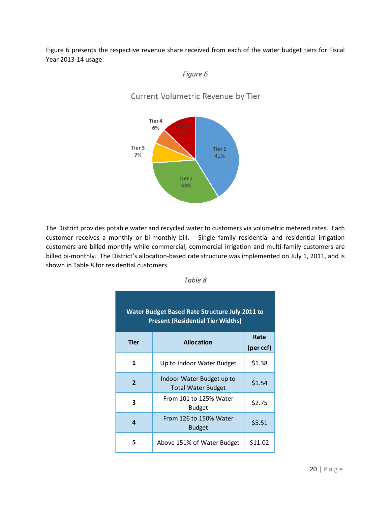<span id="page-20-0"></span>[Figure 6](#page-20-0) presents the respective revenue share received from each of the water budget tiers for Fiscal Year 2013-14 usage:

#### *Figure 6*

Current Volumetric Revenue by Tier



<span id="page-20-1"></span>The District provides potable water and recycled water to customers via volumetric metered rates. Each customer receives a monthly or bi-monthly bill. Single family residential and residential irrigation customers are billed monthly while commercial, commercial irrigation and multi-family customers are billed bi-monthly. The District's allocation-based rate structure was implemented on July 1, 2011, and is shown in [Table 8](#page-20-1) for residential customers.

| <b>Water Budget Based Rate Structure July 2011 to</b><br><b>Present (Residential Tier Widths)</b> |                                                        |         |  |  |  |
|---------------------------------------------------------------------------------------------------|--------------------------------------------------------|---------|--|--|--|
| <b>Tier</b>                                                                                       | <b>Allocation</b>                                      |         |  |  |  |
| 1                                                                                                 | Up to Indoor Water Budget                              | \$1.38  |  |  |  |
| $\overline{2}$                                                                                    | Indoor Water Budget up to<br><b>Total Water Budget</b> | \$1.54  |  |  |  |
| 3                                                                                                 | From 101 to 125% Water<br><b>Budget</b>                | \$2.75  |  |  |  |
| Δ                                                                                                 | From 126 to 150% Water<br><b>Budget</b>                | \$5.51  |  |  |  |
| 5                                                                                                 | Above 151% of Water Budget                             | \$11.02 |  |  |  |

|--|--|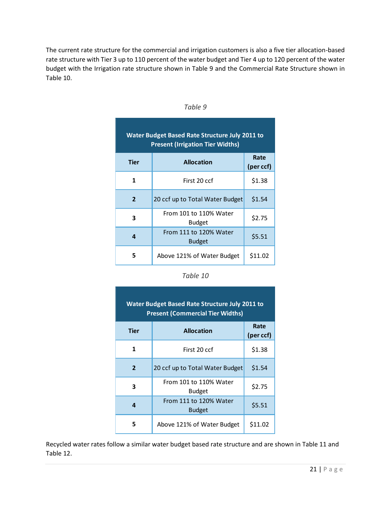<span id="page-21-0"></span>The current rate structure for the commercial and irrigation customers is also a five tier allocation-based rate structure with Tier 3 up to 110 percent of the water budget and Tier 4 up to 120 percent of the water budget with the Irrigation rate structure shown in [Table 9](#page-21-0) and the Commercial Rate Structure shown in [Table 10.](#page-21-1)

| <b>Water Budget Based Rate Structure July 2011 to</b><br><b>Present (Irrigation Tier Widths)</b> |                                         |         |  |  |
|--------------------------------------------------------------------------------------------------|-----------------------------------------|---------|--|--|
| <b>Tier</b>                                                                                      | <b>Allocation</b><br>(per ccf)          |         |  |  |
| 1                                                                                                | First 20 ccf                            | \$1.38  |  |  |
| $\overline{2}$                                                                                   | 20 ccf up to Total Water Budget         | \$1.54  |  |  |
| 3                                                                                                | From 101 to 110% Water<br><b>Budget</b> | \$2.75  |  |  |
| 4                                                                                                | From 111 to 120% Water<br><b>Budget</b> | \$5.51  |  |  |
| 5                                                                                                | Above 121% of Water Budget              | \$11.02 |  |  |

*Table 9*

| Table 10 |
|----------|
|----------|

<span id="page-21-1"></span>

| <b>Water Budget Based Rate Structure July 2011 to</b><br><b>Present (Commercial Tier Widths)</b> |                                         |                   |  |  |
|--------------------------------------------------------------------------------------------------|-----------------------------------------|-------------------|--|--|
| Tier                                                                                             | <b>Allocation</b>                       | Rate<br>(per ccf) |  |  |
| 1                                                                                                | First 20 ccf                            | \$1.38            |  |  |
| $\overline{2}$                                                                                   | 20 ccf up to Total Water Budget         | \$1.54            |  |  |
| 3                                                                                                | From 101 to 110% Water<br><b>Budget</b> | \$2.75            |  |  |
| 4                                                                                                | From 111 to 120% Water<br><b>Budget</b> | \$5.51            |  |  |
| 5                                                                                                | Above 121% of Water Budget              | \$11.02           |  |  |

Recycled water rates follow a similar water budget based rate structure and are shown in [Table 11](#page-22-0) and [Table 12.](#page-22-1)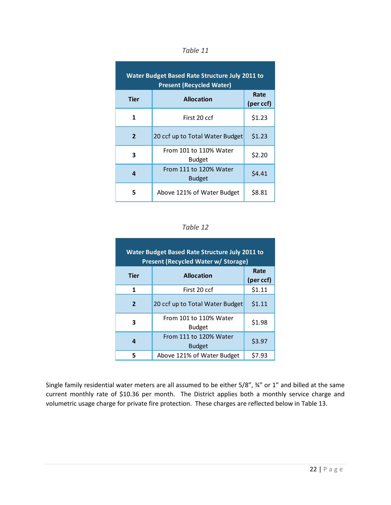<span id="page-22-0"></span>

| <b>Water Budget Based Rate Structure July 2011 to</b><br><b>Present (Recycled Water)</b> |                                         |        |  |  |  |
|------------------------------------------------------------------------------------------|-----------------------------------------|--------|--|--|--|
| Tier                                                                                     | <b>Allocation</b><br>(per ccf)          |        |  |  |  |
| 1                                                                                        | First 20 ccf                            | \$1.23 |  |  |  |
| $\overline{2}$                                                                           | 20 ccf up to Total Water Budget         | \$1.23 |  |  |  |
| 3                                                                                        | From 101 to 110% Water<br><b>Budget</b> | \$2.20 |  |  |  |
| 4                                                                                        | From 111 to 120% Water<br><b>Budget</b> | \$4.41 |  |  |  |
| 5                                                                                        | Above 121% of Water Budget              | \$8.81 |  |  |  |

| anı |  |
|-----|--|
|-----|--|

#### *Table 12*

<span id="page-22-1"></span>

| Water Budget Based Rate Structure July 2011 to<br>Present (Recycled Water w/ Storage) |                                         |        |  |  |  |
|---------------------------------------------------------------------------------------|-----------------------------------------|--------|--|--|--|
| <b>Tier</b>                                                                           | <b>Allocation</b>                       |        |  |  |  |
| 1                                                                                     | First 20 ccf                            | \$1.11 |  |  |  |
| $\overline{2}$                                                                        | 20 ccf up to Total Water Budget         | \$1.11 |  |  |  |
| 3                                                                                     | From 101 to 110% Water<br><b>Budget</b> | \$1.98 |  |  |  |
| 4                                                                                     | From 111 to 120% Water<br><b>Budget</b> | \$3.97 |  |  |  |
| 5                                                                                     | Above 121% of Water Budget              | \$7.93 |  |  |  |

Single family residential water meters are all assumed to be either 5/8", ¾" or 1" and billed at the same current monthly rate of \$10.36 per month. The District applies both a monthly service charge and volumetric usage charge for private fire protection. These charges are reflected below in [Table 13.](#page-23-0)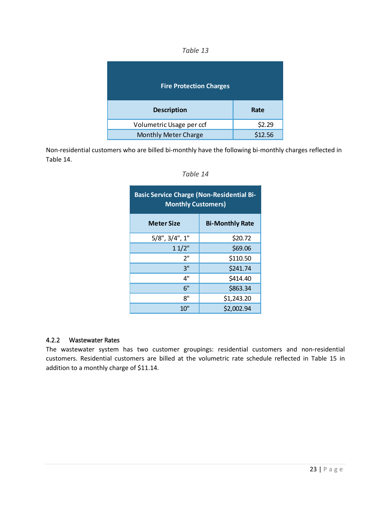| anie |  |
|------|--|
|------|--|

<span id="page-23-0"></span>

| <b>Fire Protection Charges</b> |         |
|--------------------------------|---------|
| <b>Description</b>             | Rate    |
| Volumetric Usage per ccf       | \$2.29  |
| <b>Monthly Meter Charge</b>    | \$12.56 |

<span id="page-23-1"></span>Non-residential customers who are billed bi-monthly have the following bi-monthly charges reflected in [Table 14.](#page-23-1)

| <b>Basic Service Charge (Non-Residential Bi-</b><br><b>Monthly Customers)</b> |                        |  |  |  |  |
|-------------------------------------------------------------------------------|------------------------|--|--|--|--|
| <b>Meter Size</b>                                                             | <b>Bi-Monthly Rate</b> |  |  |  |  |
| $5/8$ ", $3/4$ ", 1"                                                          | \$20.72                |  |  |  |  |
| 11/2"                                                                         | \$69.06                |  |  |  |  |
| 2"                                                                            | \$110.50               |  |  |  |  |
| 3"                                                                            | \$241.74               |  |  |  |  |
| 4"                                                                            | \$414.40               |  |  |  |  |
| 6"                                                                            | \$863.34               |  |  |  |  |
| 8"                                                                            | \$1,243.20             |  |  |  |  |
| $10$ "                                                                        | \$2,002.94             |  |  |  |  |

| Table |  |
|-------|--|
|-------|--|

#### 4.2.2 Wastewater Rates

The wastewater system has two customer groupings: residential customers and non-residential customers. Residential customers are billed at the volumetric rate schedule reflected in [Table 15](#page-24-0) in addition to a monthly charge of \$11.14.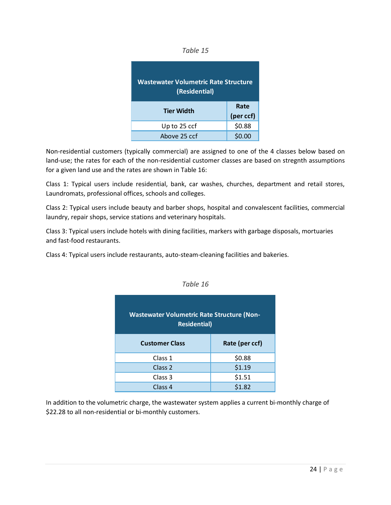| IDL |  |
|-----|--|
|-----|--|

<span id="page-24-0"></span>

| Wastewater Volumetric Rate Structure<br>(Residential) |           |
|-------------------------------------------------------|-----------|
| <b>Tier Width</b>                                     | Rate      |
|                                                       | (per ccf) |
| Up to 25 ccf                                          | \$0.88    |
| Above 25 ccf                                          | 00        |

Non-residential customers (typically commercial) are assigned to one of the 4 classes below based on land-use; the rates for each of the non-residential customer classes are based on stregnth assumptions for a given land use and the rates are shown in [Table 16:](#page-24-1)

Class 1: Typical users include residential, bank, car washes, churches, department and retail stores, Laundromats, professional offices, schools and colleges.

Class 2: Typical users include beauty and barber shops, hospital and convalescent facilities, commercial laundry, repair shops, service stations and veterinary hospitals.

Class 3: Typical users include hotels with dining facilities, markers with garbage disposals, mortuaries and fast-food restaurants.

<span id="page-24-1"></span>Class 4: Typical users include restaurants, auto-steam-cleaning facilities and bakeries.

| <b>Wastewater Volumetric Rate Structure (Non-</b><br><b>Residential)</b> |                |  |  |  |  |
|--------------------------------------------------------------------------|----------------|--|--|--|--|
| <b>Customer Class</b>                                                    | Rate (per ccf) |  |  |  |  |
| Class 1                                                                  | \$0.88         |  |  |  |  |
| Class <sub>2</sub>                                                       | \$1.19         |  |  |  |  |
| Class 3                                                                  | \$1.51         |  |  |  |  |
| Class 4                                                                  | \$1.82         |  |  |  |  |

*Table 16*

In addition to the volumetric charge, the wastewater system applies a current bi-monthly charge of \$22.28 to all non-residential or bi-monthly customers.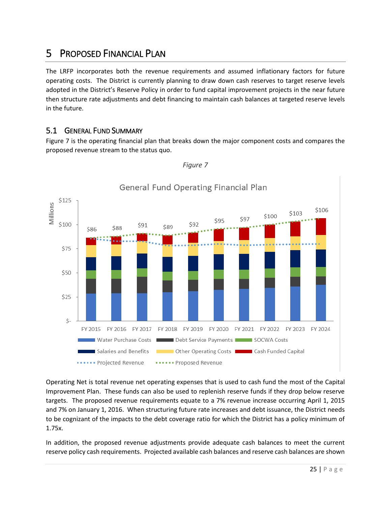### <span id="page-25-0"></span>5 PROPOSED FINANCIAL PLAN

The LRFP incorporates both the revenue requirements and assumed inflationary factors for future operating costs. The District is currently planning to draw down cash reserves to target reserve levels adopted in the District's Reserve Policy in order to fund capital improvement projects in the near future then structure rate adjustments and debt financing to maintain cash balances at targeted reserve levels in the future.

#### <span id="page-25-1"></span>5.1 GENERAL FUND SUMMARY

<span id="page-25-2"></span>[Figure 7](#page-25-2) is the operating financial plan that breaks down the major component costs and compares the proposed revenue stream to the status quo.



*Figure 7*

### General Fund Operating Financial Plan

Operating Net is total revenue net operating expenses that is used to cash fund the most of the Capital Improvement Plan. These funds can also be used to replenish reserve funds if they drop below reserve targets. The proposed revenue requirements equate to a 7% revenue increase occurring April 1, 2015 and 7% on January 1, 2016. When structuring future rate increases and debt issuance, the District needs to be cognizant of the impacts to the debt coverage ratio for which the District has a policy minimum of 1.75x.

In addition, the proposed revenue adjustments provide adequate cash balances to meet the current reserve policy cash requirements. Projected available cash balances and reserve cash balances are shown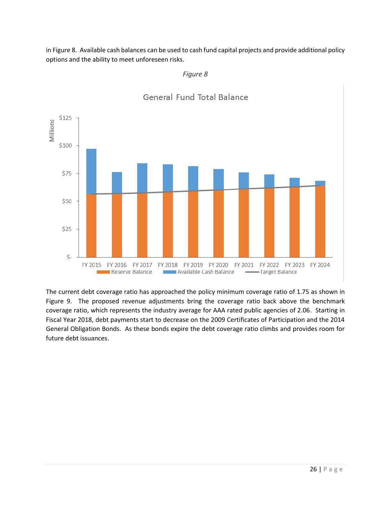<span id="page-26-0"></span>i[n Figure 8.](#page-26-0) Available cash balances can be used to cash fund capital projects and provide additional policy options and the ability to meet unforeseen risks.



#### General Fund Total Balance

*Figure 8*

The current debt coverage ratio has approached the policy minimum coverage ratio of 1.75 as shown in [Figure 9.](#page-27-0) The proposed revenue adjustments bring the coverage ratio back above the benchmark coverage ratio, which represents the industry average for AAA rated public agencies of 2.06. Starting in Fiscal Year 2018, debt payments start to decrease on the 2009 Certificates of Participation and the 2014 General Obligation Bonds. As these bonds expire the debt coverage ratio climbs and provides room for future debt issuances.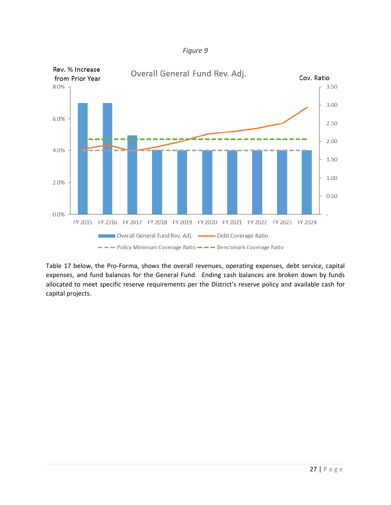

<span id="page-27-0"></span>

[Table 17](#page-28-0) below, the Pro-Forma, shows the overall revenues, operating expenses, debt service, capital expenses, and fund balances for the General Fund. Ending cash balances are broken down by funds allocated to meet specific reserve requirements per the District's reserve policy and available cash for capital projects.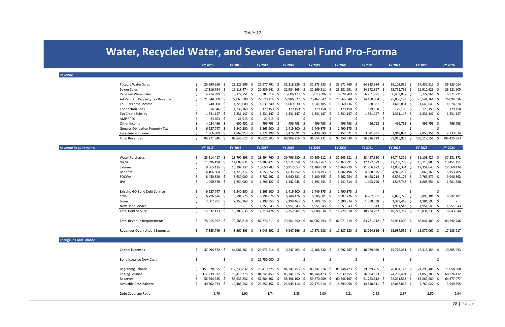| anı |  |  |
|-----|--|--|
|-----|--|--|

<span id="page-28-0"></span>

|                               |                                        |     | <b>FY 2015</b>  | <b>FY 2016</b>                   | FY 2017        |      | <b>FY 2018</b>     | FY 2019                       | <b>FY 2020</b>                                                                      | <b>FY 2021</b>            | FY 2022           | <b>FY 2023</b> |      | FY 2024     |
|-------------------------------|----------------------------------------|-----|-----------------|----------------------------------|----------------|------|--------------------|-------------------------------|-------------------------------------------------------------------------------------|---------------------------|-------------------|----------------|------|-------------|
| <b>Revenue</b>                |                                        |     |                 |                                  |                |      |                    |                               |                                                                                     |                           |                   |                |      |             |
|                               |                                        |     |                 |                                  |                |      |                    |                               |                                                                                     |                           |                   |                |      |             |
|                               | <b>Potable Water Sales</b>             |     | 26,590,296 \$   | 28,526,809<br>-S                 | 29,977,791 \$  |      | 31,218,836<br>- S  | 32,373,933<br>-S              | 33,571,769 \$                                                                       | 34,813,924 \$             | 36,102,039<br>-S  | 37,437,815 \$  |      | 38,823,014  |
|                               | Sewer Sales                            |     | 17,116,794 \$   | 19, 113, 474 \$                  | 20,539,641 \$  |      | 21,584,365 \$      | 22,566,211 \$                 | 23,581,691 \$                                                                       | 24,642,867 \$             | 25,751,796 \$     | 26,910,626 \$  |      | 28,121,605  |
|                               | <b>Recycled Water Sales</b>            |     | 4,774,999 \$    | $5,122,751$ \$                   | $5,383,314$ \$ |      | $5,606,177$ \$     | $5,813,606$ \$                | 6,028,709 \$                                                                        | $6,251,771$ \$            | 6,483,087 \$      | 6,722,961 \$   |      | 6,971,711   |
|                               | Ad Valorem Property Tax Revenue        |     | 21,848,500      | 22,063,500 \$                    | 22,520,214 \$  |      | 22,986,527 \$      | 23,462,642 \$                 | 23,965,648 \$                                                                       | 24,480,064 \$             | 25,006,173 \$     | 25,544,264 \$  |      | 26,094,636  |
|                               | Cellular Lease Income                  |     | 1,740,000 \$    | 1,720,000 \$                     | 1,631,340 \$   |      | 1,609,630 \$       | $1,541,185$ \$                | 1,560,736 \$                                                                        | 1,588,581 \$              | 1,616,881 \$      | 1,645,643 \$   |      | 1,674,874   |
|                               | <b>Connection Fees</b>                 |     | 616,846 \$      | 1,238,160 \$                     | 179,150 \$     |      | 179,150 \$         | $179,150$ \$                  | 179,150 \$                                                                          | 179,150 \$                | 179,150 \$        | 179,150 \$     |      | 179,150     |
|                               | <b>Tax Credit Subsidy</b>              |     | 1,331,147 \$    | 1,331,147 \$                     | 1,331,147 \$   |      | 1,331,147 \$       | $1,331,147$ \$                | 1,331,147 \$                                                                        | 1,331,147                 | 1,331,147 \$      | 1,331,147 \$   |      | 1,331,147   |
|                               | <b>AMP RPOI</b>                        |     | $23,663$ \$     | $21,915$ \$                      | $21,915$ \$    |      | S.                 | \$                            | -Ś                                                                                  |                           |                   | $\sim$         | -\$  |             |
|                               | Other Income                           |     | 4,034,466 \$    | 600,452 \$                       | 496,793 \$     |      | 496,793 \$         | 496,793 \$                    | 496,793 \$                                                                          | 496,793                   | 496,793<br>- S    | 496,793\$      |      | 496,793     |
|                               | <b>General Obligation Property Tax</b> |     | $6,227,747$ \$  | 6,240,500 \$                     | 6,365,900      | - S  | 1,419,500 \$       | 1,449,875 \$                  | 1,490,375 \$                                                                        | $\sim$                    | Ŝ<br>$\sim$       | $\sim$         | -\$  |             |
|                               | Investment Income                      |     | 1,966,889       | 1,867,913 \$                     | 2,374,298      | -S   | 2,476,591 \$       | 2,439,689<br>-\$              | $3,152,621$ \$                                                                      | 3,041,831                 | 2,948,893         | 2,850,151 \$   |      | 2,733,034   |
|                               | <b>Total Revenues</b>                  | Ŝ.  | 86,271,346 \$   | 87,846,622<br>-S                 | 90,821,503     | - \$ | 88,908,716<br>- S  | 91,654,231 \$                 | 95,358,639<br>-\$                                                                   | 96,826,129                | 99,915,959<br>-S  | 103,118,551    | - \$ | 106,425,963 |
| <b>Revenue Requirements</b>   |                                        |     | <b>FY 2015</b>  | <b>FY 2016</b>                   | FY 2017        |      | <b>FY 2018</b>     | FY 2019                       | <b>FY 2020</b>                                                                      | <b>FY 2021</b>            | FY 2022           | <b>FY 2023</b> |      | FY 2024     |
|                               | <b>Water Purchases</b>                 |     | 28,514,417 \$   | 28,790,898<br>-S                 | 28,894,760     | - S  | 29,796,280<br>-S   | 30,809,912<br>-S              | 32,105,621 \$                                                                       | 33,457,850<br>- S         | 34,744,329<br>- S | 36,108,427     | - \$ | 37,581,872  |
|                               | 0&M                                    |     | 11,696,198 \$   | 11,009,831<br>- \$               | 11,287,422     | - \$ | 11,571,658<br>- \$ | 11,863,767<br>- \$            | 12, 163, 991 \$                                                                     | 12,472,579 \$             | 12,789,789 \$     | 13,115,888 \$  |      | 13,451,151  |
|                               | Salaries                               |     | $9,565,115$ \$  | 10,192,137 \$                    | 10,650,783 \$  |      | 10,917,053<br>- \$ | 11,189,979 \$                 | 11,469,729 \$                                                                       | 11,756,472 \$             | 12,050,384 \$     | 12,351,643 \$  |      | 12,660,434  |
|                               | <b>Benefits</b>                        |     | $4,106,504$ \$  | 4,323,317 \$                     | 4,553,652 \$   |      | $4,635,252$ \$     | $4,718,193$ \$                | 4,802,494 \$                                                                        | 4,888,175 \$              | 4,975,257 \$      | 5,063,760 \$   |      | 5, 153, 705 |
|                               | SOCWA                                  |     | 8,450,820 \$    | 8,630,000 \$                     | 8,782,992 \$   |      | 8,940,381 \$       | $9,100,355$ \$                | $9,262,954$ \$                                                                      | 9,428,214 \$              | $9,596,176$ \$    | 9,766,879 \$   |      | 9,940,362   |
|                               | <b>JPA</b>                             |     | 1,050,370 \$    | 1,254,000 \$                     | $1,296,127$ \$ |      | 1,342,945 \$       | 1,391,453 \$                  | 1,441,714 \$                                                                        | 1,493,790 \$              | 1,547,748 \$      | 1,603,654 \$   |      | 1,661,580   |
|                               |                                        |     |                 |                                  |                |      |                    |                               |                                                                                     |                           |                   |                |      |             |
|                               | <b>Existing GO Bond Debt Service</b>   |     | 6,227,747 \$    | $6,240,500$ \$                   | $6,365,900$ \$ |      | 1,419,500 \$       | 1,449,875 \$                  | 1,490,375 \$                                                                        | -S                        | -S                | $\sim$         | -\$  |             |
|                               | COPs                                   |     | 6,796,676 \$    | 6,791,776 \$                     | 6,794,076 \$   |      | 6,788,476 \$       | $6,906,601$ \$                | 6,902,226 \$                                                                        | 6,902,351 \$              | 6,896,726 \$      | 6,895,101 \$   |      | 6,892,101   |
|                               | Loans                                  |     | 2,507,751 \$    | 2,353,360<br>- S                 | 2,198,955 \$   |      | 2,198,463 \$       | 1,700,615 \$                  | 1,380,874 \$                                                                        | 1,380,338 \$              | 1,379,448 \$      | 1,184,595 \$   |      |             |
|                               | New Debt Service                       |     |                 | -S                               | $1,951,543$ \$ |      | $1,951,543$ \$     | $1,951,543$ \$                | $1,951,543$ \$                                                                      | $1,951,543$ \$            | $1,951,543$ \$    | 1,951,543 \$   |      | 1,951,543   |
|                               | <b>Total Debt Service</b>              | Ŝ.  | 15,532,173 \$   | 15,385,635<br>-S                 | 17,310,474     | - S  | 12,357,982<br>- S  | 12,008,634<br>- S             | $11,725,018$ \$                                                                     | 10,234,232 \$             | 10,227,717 \$     | 10,031,239 \$  |      | 8,843,644   |
|                               | <b>Total Revenue Requirements</b>      |     | 78,915,597 \$   | 79,585,818<br>-S                 | 82,776,211 \$  |      | 79,561,550<br>-S   | 81,082,293<br>S.              | 82,971,519 \$                                                                       | 83,731,312                | 85,931,400 \$     | 88,041,489     | - S  | 89,292,746  |
|                               | Revenues Over (Under) Expenses         |     | 7,355,749 \$    | 8,260,803 \$                     | 8,045,292 \$   |      |                    |                               | 9,347,166 \$ 10,571,938 \$ 12,387,120 \$                                            | 13,094,816 \$             | 13,984,559 \$     | 15,077,062 \$  |      | 17,133,217  |
| <b>Change in Fund Balance</b> |                                        |     |                 |                                  |                |      |                    |                               |                                                                                     |                           |                   |                |      |             |
|                               | <b>Capital Expenses</b>                | \$. | 47,094,872 \$   |                                  |                |      |                    |                               | 44,081,261 \$ 29,973,214 \$ 10,247,403 \$ 12,168,732 \$ 15,092,287 \$ 16,039,949 \$ |                           | 15,779,281 \$     | 18,318,156 \$  |      | 19,865,093  |
|                               | <b>Bond Issuance New Cash</b>          | \$  | $\sim$ 10 $\pm$ | \$<br>$\mathsf{S}$<br>$\sim 100$ | 29,750,000 \$  |      | $-5$               | $\ddot{\mathsf{s}}$<br>$\sim$ | $-5$                                                                                | \$<br>$\omega_{\rm{max}}$ | $-5$              | $-5$           |      | $\sim$      |
|                               | <b>Beginning Balance</b>               | S.  | 151,978,955 \$  | 112,239,832 \$                   | 76,419,375 \$  |      | 84,241,453 \$      | 83,341,216 \$                 | 81,744,423 \$                                                                       | 79,039,255 \$             | 76,094,123 \$     | 74,299,401 \$  |      | 71,058,308  |
|                               | <b>Ending Balance</b>                  |     | 112,239,832 \$  | 76,419,375 \$                    | 84,241,453 \$  |      | 83,341,216 \$      | 81,744,423 \$                 | 79,039,255 \$                                                                       | 76,094,123 \$             | 74,299,401 \$     | 71,058,308 \$  |      | 68,326,432  |
|                               | Reserves                               |     | 56,554,635 \$   | 56,933,832 \$                    | 57,584,302 \$  |      | 58,396,100 \$      | 59,270,909 \$                 | 60,246,197 \$                                                                       | $61,253,612$ \$           | 62,251,563 \$     | 63,289,280 \$  |      | 64,377,077  |
|                               | Available Cash Balance                 |     | 40,602,973 \$   | 19,485,542 \$                    | 26,657,152 \$  |      | 24,945,116 \$      | 22,473,514 \$                 | 18,793,058 \$                                                                       | 14,840,511 \$             | 12,047,838 \$     | 7,769,027 \$   |      | 3,949,355   |
|                               |                                        |     |                 |                                  |                |      |                    |                               |                                                                                     |                           |                   |                |      |             |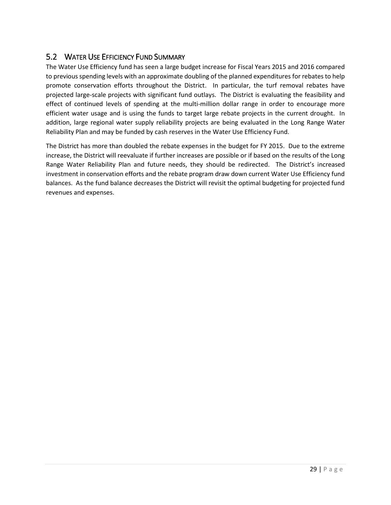#### <span id="page-29-0"></span>5.2 WATER USE EFFICIENCY FUND SUMMARY

The Water Use Efficiency fund has seen a large budget increase for Fiscal Years 2015 and 2016 compared to previous spending levels with an approximate doubling of the planned expenditures for rebates to help promote conservation efforts throughout the District. In particular, the turf removal rebates have projected large-scale projects with significant fund outlays. The District is evaluating the feasibility and effect of continued levels of spending at the multi-million dollar range in order to encourage more efficient water usage and is using the funds to target large rebate projects in the current drought. In addition, large regional water supply reliability projects are being evaluated in the Long Range Water Reliability Plan and may be funded by cash reserves in the Water Use Efficiency Fund.

The District has more than doubled the rebate expenses in the budget for FY 2015. Due to the extreme increase, the District will reevaluate if further increases are possible or if based on the results of the Long Range Water Reliability Plan and future needs, they should be redirected. The District's increased investment in conservation efforts and the rebate program draw down current Water Use Efficiency fund balances. As the fund balance decreases the District will revisit the optimal budgeting for projected fund revenues and expenses.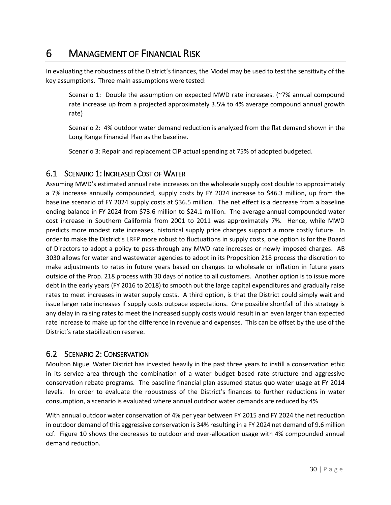### <span id="page-30-0"></span>6 MANAGEMENT OF FINANCIAL RISK

In evaluating the robustness of the District's finances, the Model may be used to test the sensitivity of the key assumptions. Three main assumptions were tested:

Scenario 1: Double the assumption on expected MWD rate increases. (~7% annual compound rate increase up from a projected approximately 3.5% to 4% average compound annual growth rate)

Scenario 2: 4% outdoor water demand reduction is analyzed from the flat demand shown in the Long Range Financial Plan as the baseline.

Scenario 3: Repair and replacement CIP actual spending at 75% of adopted budgeted.

#### <span id="page-30-1"></span>6.1 SCENARIO 1: INCREASED COST OF WATER

Assuming MWD's estimated annual rate increases on the wholesale supply cost double to approximately a 7% increase annually compounded, supply costs by FY 2024 increase to \$46.3 million, up from the baseline scenario of FY 2024 supply costs at \$36.5 million. The net effect is a decrease from a baseline ending balance in FY 2024 from \$73.6 million to \$24.1 million. The average annual compounded water cost increase in Southern California from 2001 to 2011 was approximately 7%. Hence, while MWD predicts more modest rate increases, historical supply price changes support a more costly future. In order to make the District's LRFP more robust to fluctuations in supply costs, one option is for the Board of Directors to adopt a policy to pass-through any MWD rate increases or newly imposed charges. AB 3030 allows for water and wastewater agencies to adopt in its Proposition 218 process the discretion to make adjustments to rates in future years based on changes to wholesale or inflation in future years outside of the Prop. 218 process with 30 days of notice to all customers. Another option is to issue more debt in the early years (FY 2016 to 2018) to smooth out the large capital expenditures and gradually raise rates to meet increases in water supply costs. A third option, is that the District could simply wait and issue larger rate increases if supply costs outpace expectations. One possible shortfall of this strategy is any delay in raising rates to meet the increased supply costs would result in an even larger than expected rate increase to make up for the difference in revenue and expenses. This can be offset by the use of the District's rate stabilization reserve.

#### <span id="page-30-2"></span>6.2 SCENARIO 2: CONSERVATION

Moulton Niguel Water District has invested heavily in the past three years to instill a conservation ethic in its service area through the combination of a water budget based rate structure and aggressive conservation rebate programs. The baseline financial plan assumed status quo water usage at FY 2014 levels. In order to evaluate the robustness of the District's finances to further reductions in water consumption, a scenario is evaluated where annual outdoor water demands are reduced by 4%

With annual outdoor water conservation of 4% per year between FY 2015 and FY 2024 the net reduction in outdoor demand of this aggressive conservation is 34% resulting in a FY 2024 net demand of 9.6 million ccf. [Figure 10](#page-31-1) shows the decreases to outdoor and over-allocation usage with 4% compounded annual demand reduction.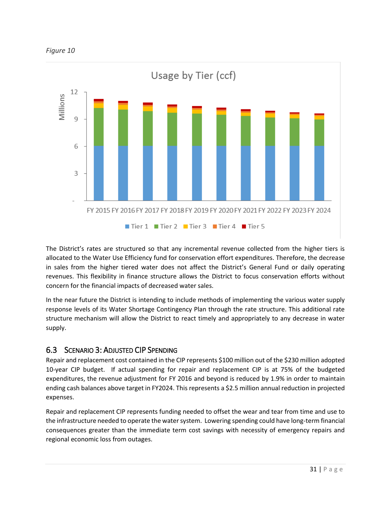<span id="page-31-1"></span>



The District's rates are structured so that any incremental revenue collected from the higher tiers is allocated to the Water Use Efficiency fund for conservation effort expenditures. Therefore, the decrease in sales from the higher tiered water does not affect the District's General Fund or daily operating revenues. This flexibility in finance structure allows the District to focus conservation efforts without concern for the financial impacts of decreased water sales.

In the near future the District is intending to include methods of implementing the various water supply response levels of its Water Shortage Contingency Plan through the rate structure. This additional rate structure mechanism will allow the District to react timely and appropriately to any decrease in water supply.

### <span id="page-31-0"></span>6.3 SCENARIO 3: ADJUSTED CIP SPENDING

Repair and replacement cost contained in the CIP represents \$100 million out of the \$230 million adopted 10-year CIP budget. If actual spending for repair and replacement CIP is at 75% of the budgeted expenditures, the revenue adjustment for FY 2016 and beyond is reduced by 1.9% in order to maintain ending cash balances above target in FY2024. This represents a \$2.5 million annual reduction in projected expenses.

Repair and replacement CIP represents funding needed to offset the wear and tear from time and use to the infrastructure needed to operate the water system. Lowering spending could have long-term financial consequences greater than the immediate term cost savings with necessity of emergency repairs and regional economic loss from outages.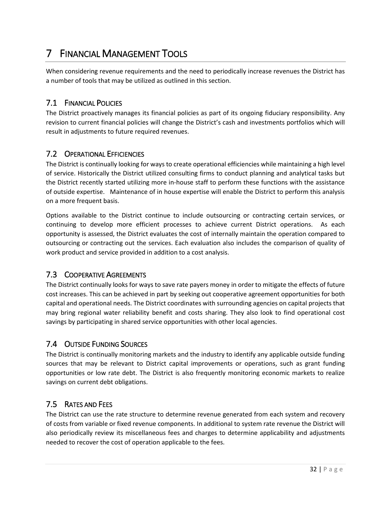## <span id="page-32-0"></span>7 FINANCIAL MANAGEMENT TOOLS

When considering revenue requirements and the need to periodically increase revenues the District has a number of tools that may be utilized as outlined in this section.

#### <span id="page-32-1"></span>7.1 FINANCIAL POLICIES

The District proactively manages its financial policies as part of its ongoing fiduciary responsibility. Any revision to current financial policies will change the District's cash and investments portfolios which will result in adjustments to future required revenues.

#### <span id="page-32-2"></span>7.2 OPERATIONAL EFFICIENCIES

The District is continually looking for ways to create operational efficiencies while maintaining a high level of service. Historically the District utilized consulting firms to conduct planning and analytical tasks but the District recently started utilizing more in-house staff to perform these functions with the assistance of outside expertise. Maintenance of in house expertise will enable the District to perform this analysis on a more frequent basis.

Options available to the District continue to include outsourcing or contracting certain services, or continuing to develop more efficient processes to achieve current District operations. As each opportunity is assessed, the District evaluates the cost of internally maintain the operation compared to outsourcing or contracting out the services. Each evaluation also includes the comparison of quality of work product and service provided in addition to a cost analysis.

#### <span id="page-32-3"></span>7.3 COOPERATIVE AGREEMENTS

The District continually looks for ways to save rate payers money in order to mitigate the effects of future cost increases. This can be achieved in part by seeking out cooperative agreement opportunities for both capital and operational needs. The District coordinates with surrounding agencies on capital projects that may bring regional water reliability benefit and costs sharing. They also look to find operational cost savings by participating in shared service opportunities with other local agencies.

#### <span id="page-32-4"></span>7.4 OUTSIDE FUNDING SOURCES

The District is continually monitoring markets and the industry to identify any applicable outside funding sources that may be relevant to District capital improvements or operations, such as grant funding opportunities or low rate debt. The District is also frequently monitoring economic markets to realize savings on current debt obligations.

#### <span id="page-32-5"></span>7.5 RATES AND FEES

The District can use the rate structure to determine revenue generated from each system and recovery of costs from variable or fixed revenue components. In additional to system rate revenue the District will also periodically review its miscellaneous fees and charges to determine applicability and adjustments needed to recover the cost of operation applicable to the fees.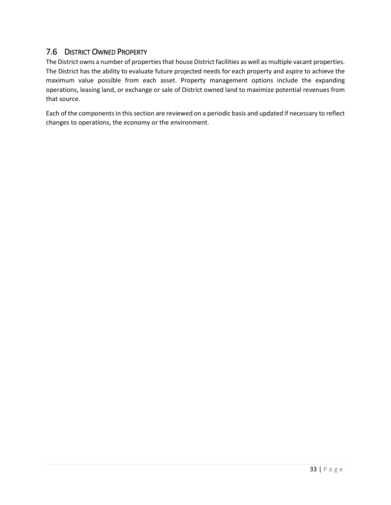#### <span id="page-33-0"></span>7.6 DISTRICT OWNED PROPERTY

The District owns a number of properties that house District facilities as well as multiple vacant properties. The District has the ability to evaluate future projected needs for each property and aspire to achieve the maximum value possible from each asset. Property management options include the expanding operations, leasing land, or exchange or sale of District owned land to maximize potential revenues from that source.

Each of the components in this section are reviewed on a periodic basis and updated if necessary to reflect changes to operations, the economy or the environment.